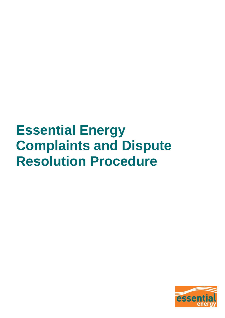# **Essential Energy Complaints and Dispute Resolution Procedure**

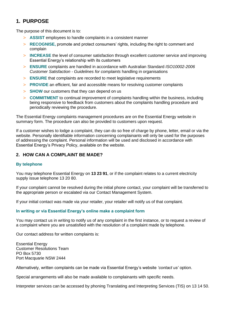## **1. PURPOSE**

The purpose of this document is to:

- > **ASSIST** employees to handle complaints in a consistent manner
- > **RECOGNISE,** promote and protect consumers' rights, including the right to comment and complain
- > **INCREASE** the level of consumer satisfaction through excellent customer service and improving Essential Energy's relationship with its customers
- > **ENSURE** complaints are handled in accordance with Australian Standard *ISO10002-2006 Customer Satisfaction - Guidelines for complaints* handling in organisations
- > **ENSURE** that complaints are recorded to meet legislative requirements
- > **PROVIDE** an efficient, fair and accessible means for resolving customer complaints
- > **SHOW** our customers that they can depend on us
- > **COMMITMENT** to continual improvement of complaints handling within the business, including being responsive to feedback from customers about the complaints handling procedure and periodically reviewing the procedure.

The Essential Energy complaints management procedures are on the Essential Energy website in summary form. The procedure can also be provided to customers upon request.

If a customer wishes to lodge a complaint, they can do so free of charge by phone, letter, email or via the website. Personally identifiable information concerning complainants will only be used for the purposes of addressing the complaint. Personal information will be used and disclosed in accordance with Essential Energy's Privacy Policy, available on the website.

#### **2. HOW CAN A COMPLAINT BE MADE?**

#### **By telephone**

You may telephone Essential Energy on **13 23 91**, or if the complaint relates to a current electricity supply issue telephone 13 20 80.

If your complaint cannot be resolved during the initial phone contact, your complaint will be transferred to the appropriate person or escalated via our Contact Management System.

If your initial contact was made via your retailer, your retailer will notify us of that complaint.

#### **In writing or via Essential Energy's online make a complaint form**

You may contact us in writing to notify us of any complaint in the first instance, or to request a review of a complaint where you are unsatisfied with the resolution of a complaint made by telephone.

Our contact address for written complaints is:

Essential Energy Customer Resolutions Team PO Box 5730 Port Macquarie NSW 2444

Alternatively, written complaints can be made via Essential Energy's website *'contact us'* option.

Special arrangements will also be made available to complainants with specific needs.

Interpreter services can be accessed by phoning Translating and Interpreting Services (TIS) on 13 14 50.